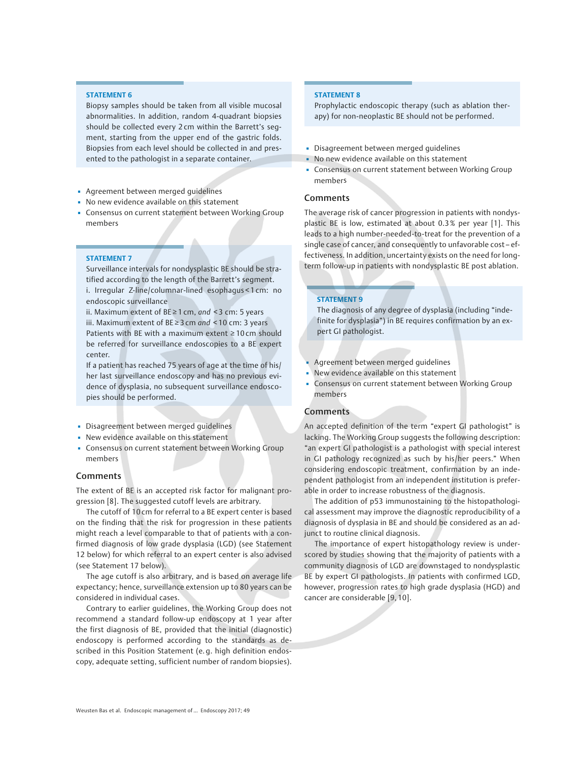### STATEMENT 6

Biopsy samples should be taken from all visible mucosal abnormalities. In addition, random 4-quadrant biopsies should be collected every 2 cm within the Barrett's segment, starting from the upper end of the gastric folds. Biopsies from each level should be collected in and presented to the pathologist in a separate container.

- **Agreement between merged guidelines**
- No new evidence available on this statement
- Consensus on current statement between Working Group members

#### STATEMENT 7

Surveillance intervals for nondysplastic BE should be stratified according to the length of the Barrett's segment. i. Irregular Z-line/columnar-lined esophagus < 1 cm: no endoscopic surveillance

ii. Maximum extent of  $BE ≥ 1$  cm, and < 3 cm: 5 years iii. Maximum extent of  $BE ≥ 3$  cm and < 10 cm: 3 years Patients with BE with a maximum extent ≥ 10 cm should be referred for surveillance endoscopies to a BE expert center.

If a patient has reached 75 years of age at the time of his/ her last surveillance endoscopy and has no previous evidence of dysplasia, no subsequent surveillance endoscopies should be performed.

- Disagreement between merged guidelines
- New evidence available on this statement
- Consensus on current statement between Working Group members

### Comments

The extent of BE is an accepted risk factor for malignant progression [8]. The suggested cutoff levels are arbitrary.

The cutoff of 10 cm for referral to a BE expert center is based on the finding that the risk for progression in these patients might reach a level comparable to that of patients with a confirmed diagnosis of low grade dysplasia (LGD) (see Statement 12 below) for which referral to an expert center is also advised (see Statement 17 below).

The age cutoff is also arbitrary, and is based on average life expectancy; hence, surveillance extension up to 80 years can be considered in individual cases.

Contrary to earlier guidelines, the Working Group does not recommend a standard follow-up endoscopy at 1 year after the first diagnosis of BE, provided that the initial (diagnostic) endoscopy is performed according to the standards as described in this Position Statement (e. g. high definition endoscopy, adequate setting, sufficient number of random biopsies).

### STATEMENT 8

Prophylactic endoscopic therapy (such as ablation therapy) for non-neoplastic BE should not be performed.

- Disagreement between merged guidelines
- No new evidence available on this statement
- **Consensus on current statement between Working Group** members

### Comments

The average risk of cancer progression in patients with nondysplastic BE is low, estimated at about 0.3 % per year [1]. This leads to a high number-needed-to-treat for the prevention of a single case of cancer, and consequently to unfavorable cost– effectiveness. In addition, uncertainty exists on the need for longterm follow-up in patients with nondysplastic BE post ablation.

### STATEMENT 9

The diagnosis of any degree of dysplasia (including "indefinite for dysplasia") in BE requires confirmation by an expert GI pathologist.

- **Agreement between merged quidelines**
- New evidence available on this statement
- Consensus on current statement between Working Group members

# Comments

An accepted definition of the term "expert GI pathologist" is lacking. The Working Group suggests the following description: "an expert GI pathologist is a pathologist with special interest in GI pathology recognized as such by his/her peers." When considering endoscopic treatment, confirmation by an independent pathologist from an independent institution is preferable in order to increase robustness of the diagnosis.

The addition of p53 immunostaining to the histopathological assessment may improve the diagnostic reproducibility of a diagnosis of dysplasia in BE and should be considered as an adjunct to routine clinical diagnosis.

The importance of expert histopathology review is underscored by studies showing that the majority of patients with a community diagnosis of LGD are downstaged to nondysplastic BE by expert GI pathologists. In patients with confirmed LGD, however, progression rates to high grade dysplasia (HGD) and cancer are considerable [9, 10].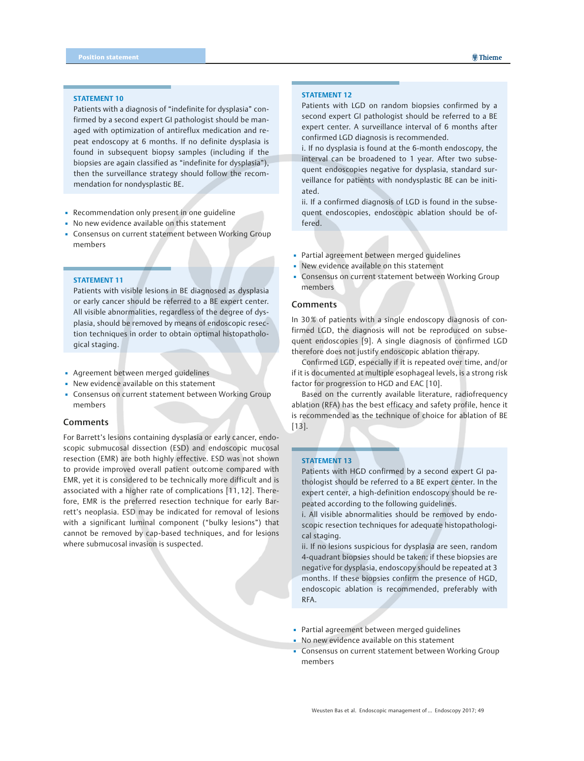#### STATEMENT 10

Patients with a diagnosis of "indefinite for dysplasia" confirmed by a second expert GI pathologist should be managed with optimization of antireflux medication and repeat endoscopy at 6 months. If no definite dysplasia is found in subsequent biopsy samples (including if the biopsies are again classified as "indefinite for dysplasia"), then the surveillance strategy should follow the recommendation for nondysplastic BE.

- **Recommendation only present in one quideline**
- No new evidence available on this statement
- Consensus on current statement between Working Group members

# STATEMENT 11

Patients with visible lesions in BE diagnosed as dysplasia or early cancer should be referred to a BE expert center. All visible abnormalities, regardless of the degree of dysplasia, should be removed by means of endoscopic resection techniques in order to obtain optimal histopathological staging.

- Agreement between merged guidelines
- New evidence available on this statement
- Consensus on current statement between Working Group members

### Comments

For Barrett's lesions containing dysplasia or early cancer, endoscopic submucosal dissection (ESD) and endoscopic mucosal resection (EMR) are both highly effective. ESD was not shown to provide improved overall patient outcome compared with EMR, yet it is considered to be technically more difficult and is associated with a higher rate of complications [11, 12]. Therefore, EMR is the preferred resection technique for early Barrett's neoplasia. ESD may be indicated for removal of lesions with a significant luminal component ("bulky lesions") that cannot be removed by cap-based techniques, and for lesions where submucosal invasion is suspected.

### STATEMENT 12

Patients with LGD on random biopsies confirmed by a second expert GI pathologist should be referred to a BE expert center. A surveillance interval of 6 months after confirmed LGD diagnosis is recommended.

i. If no dysplasia is found at the 6-month endoscopy, the interval can be broadened to 1 year. After two subsequent endoscopies negative for dysplasia, standard surveillance for patients with nondysplastic BE can be initiated.

ii. If a confirmed diagnosis of LGD is found in the subsequent endoscopies, endoscopic ablation should be offered.

- Partial agreement between merged guidelines
- New evidence available on this statement
- Consensus on current statement between Working Group members

### **Comments**

In 30 % of patients with a single endoscopy diagnosis of confirmed LGD, the diagnosis will not be reproduced on subsequent endoscopies [9]. A single diagnosis of confirmed LGD therefore does not justify endoscopic ablation therapy.

Confirmed LGD, especially if it is repeated over time, and/or if it is documented at multiple esophageal levels, is a strong risk factor for progression to HGD and EAC [10].

Based on the currently available literature, radiofrequency ablation (RFA) has the best efficacy and safety profile, hence it is recommended as the technique of choice for ablation of BE [13].

### STATEMENT 13

Patients with HGD confirmed by a second expert GI pathologist should be referred to a BE expert center. In the expert center, a high-definition endoscopy should be repeated according to the following guidelines.

i. All visible abnormalities should be removed by endoscopic resection techniques for adequate histopathological staging.

ii. If no lesions suspicious for dysplasia are seen, random 4-quadrant biopsies should be taken; if these biopsies are negative for dysplasia, endoscopy should be repeated at 3 months. If these biopsies confirm the presence of HGD, endoscopic ablation is recommended, preferably with RFA.

- Partial agreement between merged guidelines
- No new evidence available on this statement
- Consensus on current statement between Working Group members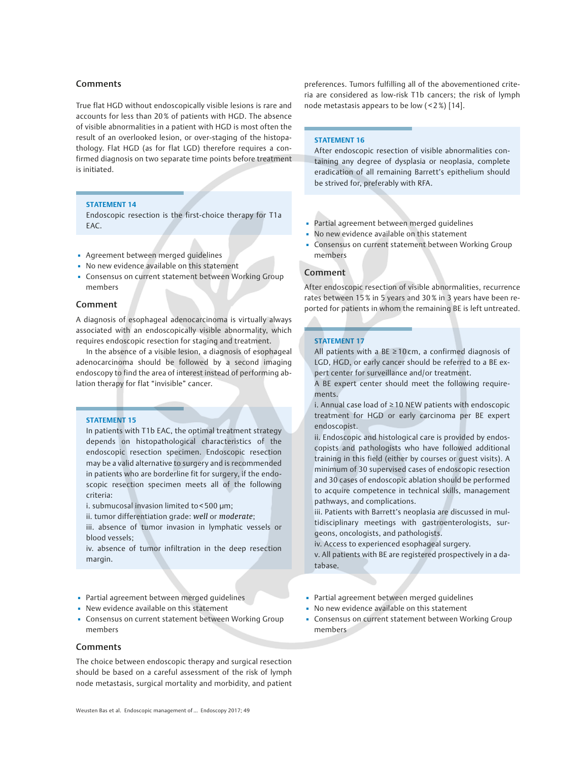# Comments

True flat HGD without endoscopically visible lesions is rare and accounts for less than 20 % of patients with HGD. The absence of visible abnormalities in a patient with HGD is most often the result of an overlooked lesion, or over-staging of the histopathology. Flat HGD (as for flat LGD) therefore requires a confirmed diagnosis on two separate time points before treatment is initiated.

### STATEMENT 14

Endoscopic resection is the first-choice therapy for T1a EAC.

- **·** Agreement between merged guidelines
- No new evidence available on this statement
- Consensus on current statement between Working Group members

# Comment

A diagnosis of esophageal adenocarcinoma is virtually always associated with an endoscopically visible abnormality, which requires endoscopic resection for staging and treatment.

In the absence of a visible lesion, a diagnosis of esophageal adenocarcinoma should be followed by a second imaging endoscopy to find the area of interest instead of performing ablation therapy for flat "invisible" cancer.

### STATEMENT 15

In patients with T1b EAC, the optimal treatment strategy depends on histopathological characteristics of the endoscopic resection specimen. Endoscopic resection may be a valid alternative to surgery and is recommended in patients who are borderline fit for surgery, if the endoscopic resection specimen meets all of the following criteria:

i. submucosal invasion limited to < 500 µm;

ii. tumor differentiation grade: well or moderate;

iii. absence of tumor invasion in lymphatic vessels or blood vessels;

iv. absence of tumor infiltration in the deep resection margin.

- Partial agreement between merged guidelines
- New evidence available on this statement
- Consensus on current statement between Working Group members

### Comments

The choice between endoscopic therapy and surgical resection should be based on a careful assessment of the risk of lymph node metastasis, surgical mortality and morbidity, and patient

preferences. Tumors fulfilling all of the abovementioned criteria are considered as low-risk T1b cancers; the risk of lymph node metastasis appears to be low  $($  < 2 $%)$  [14].

#### STATEMENT 16

After endoscopic resection of visible abnormalities containing any degree of dysplasia or neoplasia, complete eradication of all remaining Barrett's epithelium should be strived for, preferably with RFA.

- Partial agreement between merged guidelines
- No new evidence available on this statement
- Consensus on current statement between Working Group members

# Comment

After endoscopic resection of visible abnormalities, recurrence rates between 15 % in 5 years and 30 % in 3 years have been reported for patients in whom the remaining BE is left untreated.

### STATEMENT 17

All patients with a BE  $\geq 10$  cm, a confirmed diagnosis of LGD, HGD, or early cancer should be referred to a BE expert center for surveillance and/or treatment.

A BE expert center should meet the following requirements.

i. Annual case load of ≥ 10 NEW patients with endoscopic treatment for HGD or early carcinoma per BE expert endoscopist.

ii. Endoscopic and histological care is provided by endoscopists and pathologists who have followed additional training in this field (either by courses or guest visits). A minimum of 30 supervised cases of endoscopic resection and 30 cases of endoscopic ablation should be performed to acquire competence in technical skills, management pathways, and complications.

iii. Patients with Barrett's neoplasia are discussed in multidisciplinary meetings with gastroenterologists, surgeons, oncologists, and pathologists.

iv. Access to experienced esophageal surgery.

v. All patients with BE are registered prospectively in a database.

- Partial agreement between merged guidelines
- No new evidence available on this statement
- Consensus on current statement between Working Group members